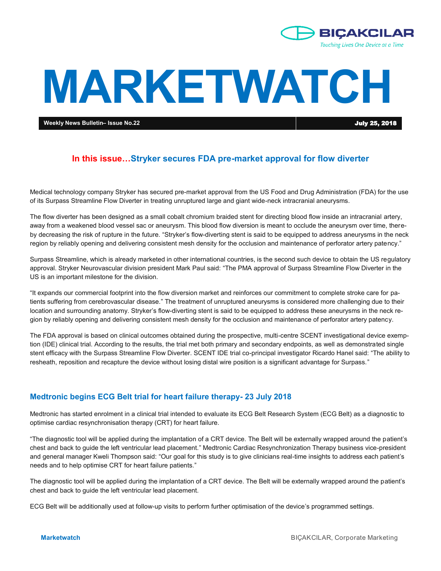

# **MARKETWATCH**

**Weekly News Bulletin– Issue No.22** July 25, 2018

# **In this issue…Stryker secures FDA pre-market approval for flow diverter**

Medical technology company Stryker has secured pre-market approval from the US Food and Drug Administration (FDA) for the use of its Surpass Streamline Flow Diverter in treating unruptured large and giant wide-neck intracranial aneurysms.

The flow diverter has been designed as a small cobalt chromium braided stent for directing blood flow inside an intracranial artery, away from a weakened blood vessel sac or aneurysm. This blood flow diversion is meant to occlude the aneurysm over time, thereby decreasing the risk of rupture in the future. "Stryker's flow-diverting stent is said to be equipped to address aneurysms in the neck region by reliably opening and delivering consistent mesh density for the occlusion and maintenance of perforator artery patency."

Surpass Streamline, which is already marketed in other international countries, is the second such device to obtain the US regulatory approval. Stryker Neurovascular division president Mark Paul said: "The PMA approval of Surpass Streamline Flow Diverter in the US is an important milestone for the division.

"It expands our commercial footprint into the flow diversion market and reinforces our commitment to complete stroke care for patients suffering from cerebrovascular disease." The treatment of unruptured aneurysms is considered more challenging due to their location and surrounding anatomy. Stryker's flow-diverting stent is said to be equipped to address these aneurysms in the neck region by reliably opening and delivering consistent mesh density for the occlusion and maintenance of perforator artery patency.

The FDA approval is based on clinical outcomes obtained during the prospective, multi-centre SCENT investigational device exemption (IDE) clinical trial. According to the results, the trial met both primary and secondary endpoints, as well as demonstrated single stent efficacy with the Surpass Streamline Flow Diverter. SCENT IDE trial co-principal investigator Ricardo Hanel said: "The ability to resheath, reposition and recapture the device without losing distal wire position is a significant advantage for Surpass."

## **Medtronic begins ECG Belt trial for heart failure therapy- 23 July 2018**

Medtronic has started enrolment in a clinical trial intended to evaluate its ECG Belt Research System (ECG Belt) as a diagnostic to optimise cardiac resynchronisation therapy (CRT) for heart failure.

"The diagnostic tool will be applied during the implantation of a CRT device. The Belt will be externally wrapped around the patient's chest and back to guide the left ventricular lead placement." Medtronic Cardiac Resynchronization Therapy business vice-president and general manager Kweli Thompson said: "Our goal for this study is to give clinicians real-time insights to address each patient's needs and to help optimise CRT for heart failure patients."

The diagnostic tool will be applied during the implantation of a CRT device. The Belt will be externally wrapped around the patient's chest and back to guide the left ventricular lead placement.

ECG Belt will be additionally used at follow-up visits to perform further optimisation of the device's programmed settings.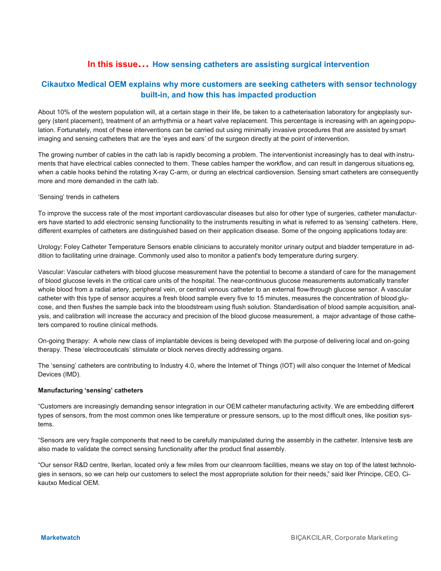# **In this issue… How sensing catheters are assisting surgical intervention**

# **Cikautxo Medical OEM explains why more customers are seeking catheters with sensor technology built-in, and how this has impacted production**

About 10% of the western population will, at a certain stage in their life, be taken to a catheterisation laboratory for angioplasty surgery (stent placement), treatment of an arrhythmia or a heart valve replacement. This percentage is increasing with an ageing population. Fortunately, most of these interventions can be carried out using minimally invasive procedures that are assisted by smart imaging and sensing catheters that are the 'eyes and ears' of the surgeon directly at the point of intervention.

The growing number of cables in the cath lab is rapidly becoming a problem. The interventionist increasingly has to deal with instruments that have electrical cables connected to them. These cables hamper the workflow, and can result in dangerous situations eg, when a cable hooks behind the rotating X-ray C-arm, or during an electrical cardioversion. Sensing smart catheters are consequently more and more demanded in the cath lab.

#### 'Sensing' trends in catheters

To improve the success rate of the most important cardiovascular diseases but also for other type of surgeries, catheter manufacturers have started to add electronic sensing functionality to the instruments resulting in what is referred to as 'sensing' catheters. Here, different examples of catheters are distinguished based on their application disease. Some of the ongoing applications today are:

Urology: Foley Catheter Temperature Sensors enable clinicians to accurately monitor urinary output and bladder temperature in addition to facilitating urine drainage. Commonly used also to monitor a patient's body temperature during surgery.

Vascular: Vascular catheters with blood glucose measurement have the potential to become a standard of care for the management of blood glucose levels in the critical care units of the hospital. The near-continuous glucose measurements automatically transfer whole blood from a radial artery, peripheral vein, or central venous catheter to an external flow-through glucose sensor. A vascular catheter with this type of sensor acquires a fresh blood sample every five to 15 minutes, measures the concentration of blood glucose, and then flushes the sample back into the bloodstream using flush solution. Standardisation of blood sample acquisition, analysis, and calibration will increase the accuracy and precision of the blood glucose measurement, a major advantage of those catheters compared to routine clinical methods.

On-going therapy: A whole new class of implantable devices is being developed with the purpose of delivering local and on-going therapy. These 'electroceuticals' stimulate or block nerves directly addressing organs.

The 'sensing' catheters are contributing to Industry 4.0, where the Internet of Things (IOT) will also conquer the Internet of Medical Devices (IMD).

#### **Manufacturing 'sensing' catheters**

"Customers are increasingly demanding sensor integration in our OEM catheter manufacturing activity. We are embedding different types of sensors, from the most common ones like temperature or pressure sensors, up to the most difficult ones, like position systems.

"Sensors are very fragile components that need to be carefully manipulated during the assembly in the catheter. Intensive tests are also made to validate the correct sensing functionality after the product final assembly.

"Our sensor R&D centre, Ikerlan, located only a few miles from our cleanroom facilities, means we stay on top of the latest technologies in sensors, so we can help our customers to select the most appropriate solution for their needs," said Iker Principe, CEO, Cikautxo Medical OEM.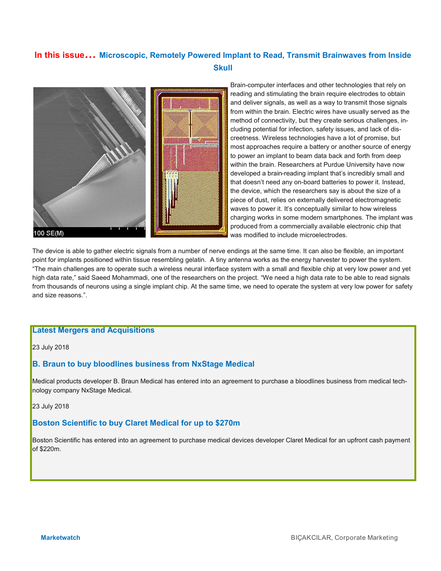# **In this issue… Microscopic, Remotely Powered Implant to Read, Transmit Brainwaves from Inside Skull**



Brain-computer interfaces and other technologies that rely on reading and stimulating the brain require electrodes to obtain and deliver signals, as well as a way to transmit those signals from within the brain. Electric wires have usually served as the method of connectivity, but they create serious challenges, including potential for infection, safety issues, and lack of discreetness. Wireless technologies have a lot of promise, but most approaches require a battery or another source of energy to power an implant to beam data back and forth from deep within the brain. Researchers at Purdue University have now developed a brain-reading implant that's incredibly small and that doesn't need any on-board batteries to power it. Instead, the device, which the researchers say is about the size of a piece of dust, relies on externally delivered electromagnetic waves to power it. It's conceptually similar to how wireless charging works in some modern smartphones. The implant was produced from a commercially available electronic chip that was modified to include microelectrodes.

The device is able to gather electric signals from a number of nerve endings at the same time. It can also be flexible, an important point for implants positioned within tissue resembling gelatin. A tiny antenna works as the energy harvester to power the system. "The main challenges are to operate such a wireless neural interface system with a small and flexible chip at very low power and yet high data rate," said Saeed Mohammadi, one of the researchers on the project. "We need a high data rate to be able to read signals from thousands of neurons using a single implant chip. At the same time, we need to operate the system at very low power for safety and size reasons.".

## **Latest Mergers and Acquisitions**

#### 23 July 2018

## **B. Braun to buy bloodlines business from NxStage Medical**

Medical products developer B. Braun Medical has entered into an agreement to purchase a bloodlines business from medical technology company NxStage Medical.

23 July 2018

## **Boston Scientific to buy Claret Medical for up to \$270m**

Boston Scientific has entered into an agreement to purchase medical devices developer Claret Medical for an upfront cash payment of \$220m.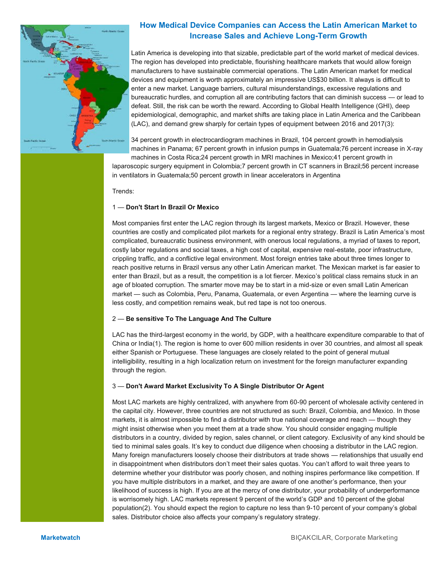

# **How Medical Device Companies can Access the Latin American Market to Increase Sales and Achieve Long-Term Growth**

Latin America is developing into that sizable, predictable part of the world market of medical devices. The region has developed into predictable, flourishing healthcare markets that would allow foreign manufacturers to have sustainable commercial operations. The Latin American market for medical devices and equipment is worth approximately an impressive US\$30 billion. It always is difficult to enter a new market. Language barriers, cultural misunderstandings, excessive regulations and bureaucratic hurdles, and corruption all are contributing factors that can diminish success — or lead to defeat. Still, the risk can be worth the reward. According to Global Health Intelligence (GHI), deep epidemiological, demographic, and market shifts are taking place in Latin America and the Caribbean (LAC), and demand grew sharply for certain types of equipment between 2016 and 2017(3):

34 percent growth in electrocardiogram machines in Brazil, 104 percent growth in hemodialysis machines in Panama; 67 percent growth in infusion pumps in Guatemala;76 percent increase in X-ray machines in Costa Rica;24 percent growth in MRI machines in Mexico;41 percent growth in

laparoscopic surgery equipment in Colombia;7 percent growth in CT scanners in Brazil;56 percent increase in ventilators in Guatemala;50 percent growth in linear accelerators in Argentina

Trends:

#### 1 — **Don't Start In Brazil Or Mexico**

Most companies first enter the LAC region through its largest markets, Mexico or Brazil. However, these countries are costly and complicated pilot markets for a regional entry strategy. Brazil is Latin America's most complicated, bureaucratic business environment, with onerous local regulations, a myriad of taxes to report, costly labor regulations and social taxes, a high cost of capital, expensive real-estate, poor infrastructure, crippling traffic, and a conflictive legal environment. Most foreign entries take about three times longer to reach positive returns in Brazil versus any other Latin American market. The Mexican market is far easier to enter than Brazil, but as a result, the competition is a lot fiercer. Mexico's political class remains stuck in an age of bloated corruption. The smarter move may be to start in a mid-size or even small Latin American market — such as Colombia, Peru, Panama, Guatemala, or even Argentina — where the learning curve is less costly, and competition remains weak, but red tape is not too onerous.

#### 2 — **Be sensitive To The Language And The Culture**

LAC has the third-largest economy in the world, by GDP, with a healthcare expenditure comparable to that of China or India(1). The region is home to over 600 million residents in over 30 countries, and almost all speak either Spanish or Portuguese. These languages are closely related to the point of general mutual intelligibility, resulting in a high localization return on investment for the foreign manufacturer expanding through the region.

#### 3 — **Don't Award Market Exclusivity To A Single Distributor Or Agent**

Most LAC markets are highly centralized, with anywhere from 60-90 percent of wholesale activity centered in the capital city. However, three countries are not structured as such: Brazil, Colombia, and Mexico. In those markets, it is almost impossible to find a distributor with true national coverage and reach — though they might insist otherwise when you meet them at a trade show. You should consider engaging multiple distributors in a country, divided by region, sales channel, or client category. Exclusivity of any kind should be tied to minimal sales goals. It's key to conduct due diligence when choosing a distributor in the LAC region. Many foreign manufacturers loosely choose their distributors at trade shows — relationships that usually end in disappointment when distributors don't meet their sales quotas. You can't afford to wait three years to determine whether your distributor was poorly chosen, and nothing inspires performance like competition. If you have multiple distributors in a market, and they are aware of one another's performance, then your likelihood of success is high. If you are at the mercy of one distributor, your probability of underperformance is worrisomely high. LAC markets represent 9 percent of the world's GDP and 10 percent of the global population(2). You should expect the region to capture no less than 9-10 percent of your company's global sales. Distributor choice also affects your company's regulatory strategy.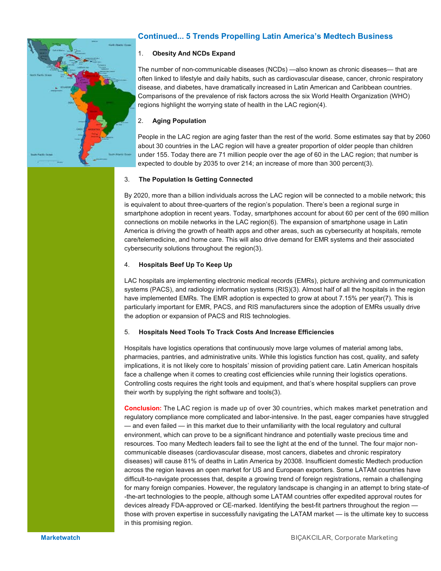

# **Continued... 5 Trends Propelling Latin America's Medtech Business**

## 1. **Obesity And NCDs Expand**

The number of non-communicable diseases (NCDs) —also known as chronic diseases— that are often linked to lifestyle and daily habits, such as cardiovascular disease, cancer, chronic respiratory disease, and diabetes, have dramatically increased in Latin American and Caribbean countries. Comparisons of the prevalence of risk factors across the six World Health Organization (WHO) regions highlight the worrying state of health in the LAC region(4).

## 2. **Aging Population**

People in the LAC region are aging faster than the rest of the world. Some estimates say that by 2060 about 30 countries in the LAC region will have a greater proportion of older people than children under 155. Today there are 71 million people over the age of 60 in the LAC region; that number is expected to double by 2035 to over 214; an increase of more than 300 percent(3).

## 3. **The Population Is Getting Connected**

By 2020, more than a billion individuals across the LAC region will be connected to a mobile network; this is equivalent to about three-quarters of the region's population. There's been a regional surge in smartphone adoption in recent years. Today, smartphones account for about 60 per cent of the 690 million connections on mobile networks in the LAC region(6). The expansion of smartphone usage in Latin America is driving the growth of health apps and other areas, such as cybersecurity at hospitals, remote care/telemedicine, and home care. This will also drive demand for EMR systems and their associated cybersecurity solutions throughout the region(3).

#### 4. **Hospitals Beef Up To Keep Up**

LAC hospitals are implementing electronic medical records (EMRs), picture archiving and communication systems (PACS), and radiology information systems (RIS)(3). Almost half of all the hospitals in the region have implemented EMRs. The EMR adoption is expected to grow at about 7.15% per year(7). This is particularly important for EMR, PACS, and RIS manufacturers since the adoption of EMRs usually drive the adoption or expansion of PACS and RIS technologies.

## 5. **Hospitals Need Tools To Track Costs And Increase Efficiencies**

Hospitals have logistics operations that continuously move large volumes of material among labs, pharmacies, pantries, and administrative units. While this logistics function has cost, quality, and safety implications, it is not likely core to hospitals' mission of providing patient care. Latin American hospitals face a challenge when it comes to creating cost efficiencies while running their logistics operations. Controlling costs requires the right tools and equipment, and that's where hospital suppliers can prove their worth by supplying the right software and tools(3).

**Conclusion:** The LAC region is made up of over 30 countries, which makes market penetration and regulatory compliance more complicated and labor-intensive. In the past, eager companies have struggled — and even failed — in this market due to their unfamiliarity with the local regulatory and cultural environment, which can prove to be a significant hindrance and potentially waste precious time and resources. Too many Medtech leaders fail to see the light at the end of the tunnel. The four major noncommunicable diseases (cardiovascular disease, most cancers, diabetes and chronic respiratory diseases) will cause 81% of deaths in Latin America by 20308. Insufficient domestic Medtech production across the region leaves an open market for US and European exporters. Some LATAM countries have difficult-to-navigate processes that, despite a growing trend of foreign registrations, remain a challenging for many foreign companies. However, the regulatory landscape is changing in an attempt to bring state-of -the-art technologies to the people, although some LATAM countries offer expedited approval routes for devices already FDA-approved or CE-marked. Identifying the best-fit partners throughout the region those with proven expertise in successfully navigating the LATAM market — is the ultimate key to success in this promising region.